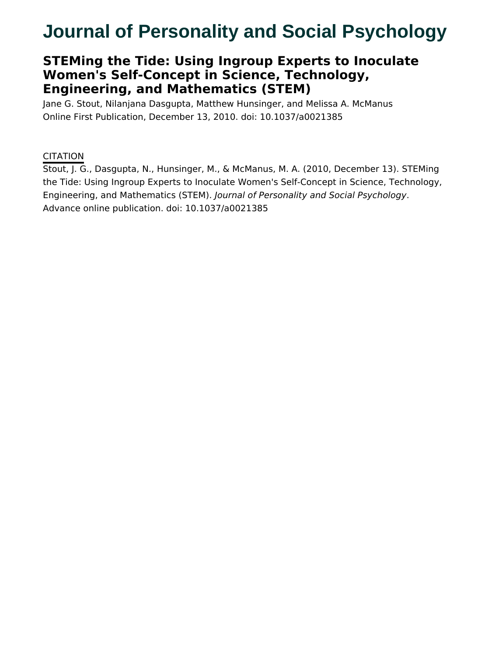# **Journal of Personality and Social Psychology**

# **STEMing the Tide: Using Ingroup Experts to Inoculate Women's Self-Concept in Science, Technology, Engineering, and Mathematics (STEM)**

Jane G. Stout, Nilanjana Dasgupta, Matthew Hunsinger, and Melissa A. McManus Online First Publication, December 13, 2010. doi: 10.1037/a0021385

# **CITATION**

Stout, J. G., Dasgupta, N., Hunsinger, M., & McManus, M. A. (2010, December 13). STEMing the Tide: Using Ingroup Experts to Inoculate Women's Self-Concept in Science, Technology, Engineering, and Mathematics (STEM). Journal of Personality and Social Psychology. Advance online publication. doi: 10.1037/a0021385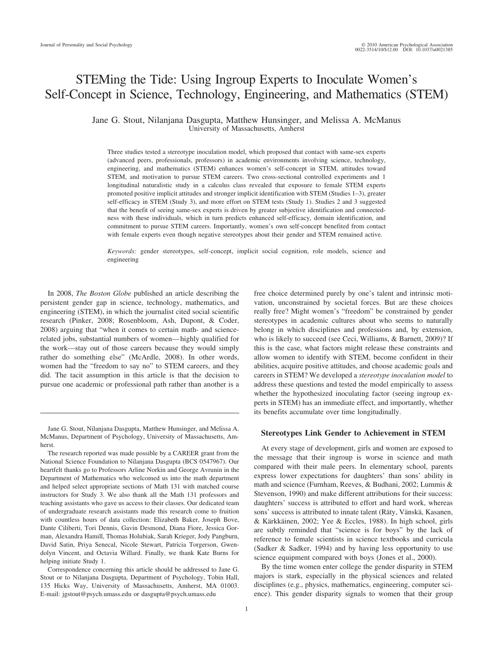# STEMing the Tide: Using Ingroup Experts to Inoculate Women's Self-Concept in Science, Technology, Engineering, and Mathematics (STEM)

Jane G. Stout, Nilanjana Dasgupta, Matthew Hunsinger, and Melissa A. McManus University of Massachusetts, Amherst

Three studies tested a stereotype inoculation model, which proposed that contact with same-sex experts (advanced peers, professionals, professors) in academic environments involving science, technology, engineering, and mathematics (STEM) enhances women's self-concept in STEM, attitudes toward STEM, and motivation to pursue STEM careers. Two cross-sectional controlled experiments and 1 longitudinal naturalistic study in a calculus class revealed that exposure to female STEM experts promoted positive implicit attitudes and stronger implicit identification with STEM (Studies 1–3), greater self-efficacy in STEM (Study 3), and more effort on STEM tests (Study 1). Studies 2 and 3 suggested that the benefit of seeing same-sex experts is driven by greater subjective identification and connectedness with these individuals, which in turn predicts enhanced self-efficacy, domain identification, and commitment to pursue STEM careers. Importantly, women's own self-concept benefited from contact with female experts even though negative stereotypes about their gender and STEM remained active.

*Keywords:* gender stereotypes, self-concept, implicit social cognition, role models, science and engineering

In 2008, *The Boston Globe* published an article describing the persistent gender gap in science, technology, mathematics, and engineering (STEM), in which the journalist cited social scientific research (Pinker, 2008; Rosenbloom, Ash, Dupont, & Coder, 2008) arguing that "when it comes to certain math- and sciencerelated jobs, substantial numbers of women— highly qualified for the work—stay out of those careers because they would simply rather do something else" (McArdle, 2008). In other words, women had the "freedom to say no" to STEM careers, and they did. The tacit assumption in this article is that the decision to pursue one academic or professional path rather than another is a free choice determined purely by one's talent and intrinsic motivation, unconstrained by societal forces. But are these choices really free? Might women's "freedom" be constrained by gender stereotypes in academic cultures about who seems to naturally belong in which disciplines and professions and, by extension, who is likely to succeed (see Ceci, Williams, & Barnett, 2009)? If this is the case, what factors might release these constraints and allow women to identify with STEM, become confident in their abilities, acquire positive attitudes, and choose academic goals and careers in STEM? We developed a *stereotype inoculation model* to address these questions and tested the model empirically to assess whether the hypothesized inoculating factor (seeing ingroup experts in STEM) has an immediate effect, and importantly, whether its benefits accumulate over time longitudinally.

#### **Stereotypes Link Gender to Achievement in STEM**

At every stage of development, girls and women are exposed to the message that their ingroup is worse in science and math compared with their male peers. In elementary school, parents express lower expectations for daughters' than sons' ability in math and science (Furnham, Reeves, & Budhani, 2002; Lummis & Stevenson, 1990) and make different attributions for their success: daughters' success is attributed to effort and hard work, whereas sons' success is attributed to innate talent (Räty, Vänskä, Kasanen, & Ka¨rkka¨inen, 2002; Yee & Eccles, 1988). In high school, girls are subtly reminded that "science is for boys" by the lack of reference to female scientists in science textbooks and curricula (Sadker & Sadker, 1994) and by having less opportunity to use science equipment compared with boys (Jones et al., 2000).

By the time women enter college the gender disparity in STEM majors is stark, especially in the physical sciences and related disciplines (e.g., physics, mathematics, engineering, computer science). This gender disparity signals to women that their group

Jane G. Stout, Nilanjana Dasgupta, Matthew Hunsinger, and Melissa A. McManus, Department of Psychology, University of Massachusetts, Amherst.

The research reported was made possible by a CAREER grant from the National Science Foundation to Nilanjana Dasgupta (BCS 0547967). Our heartfelt thanks go to Professors Arline Norkin and George Avrunin in the Department of Mathematics who welcomed us into the math department and helped select appropriate sections of Math 131 with matched course instructors for Study 3. We also thank all the Math 131 professors and teaching assistants who gave us access to their classes. Our dedicated team of undergraduate research assistants made this research come to fruition with countless hours of data collection: Elizabeth Baker, Joseph Bove, Dante Ciliberti, Tori Dennis, Gavin Desmond, Diana Fiore, Jessica Gorman, Alexandra Hamill, Thomas Holubiak, Sarah Krieger, Jody Pangburn, David Satin, Priya Senecal, Nicole Stewart, Patricia Torgerson, Gwendolyn Vincent, and Octavia Willard. Finally, we thank Kate Burns for helping initiate Study 1.

Correspondence concerning this article should be addressed to Jane G. Stout or to Nilanjana Dasgupta, Department of Psychology, Tobin Hall, 135 Hicks Way, University of Massachusetts, Amherst, MA 01003. E-mail: jgstout@psych.umass.edu or dasgupta@psych.umass.edu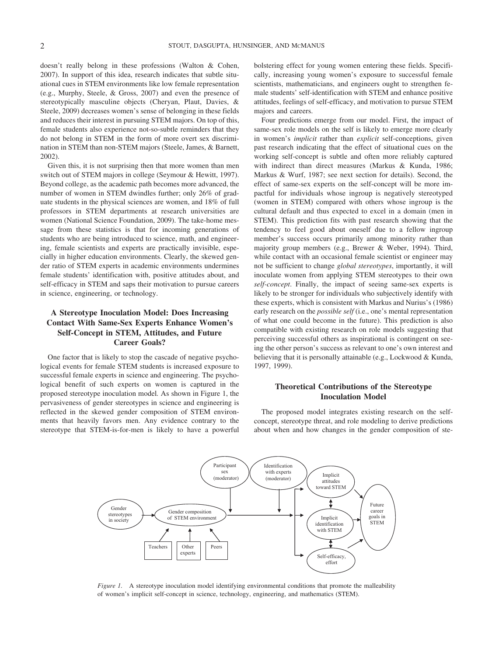doesn't really belong in these professions (Walton & Cohen, 2007). In support of this idea, research indicates that subtle situational cues in STEM environments like low female representation (e.g., Murphy, Steele, & Gross, 2007) and even the presence of stereotypically masculine objects (Cheryan, Plaut, Davies, & Steele, 2009) decreases women's sense of belonging in these fields and reduces their interest in pursuing STEM majors. On top of this, female students also experience not-so-subtle reminders that they do not belong in STEM in the form of more overt sex discrimination in STEM than non-STEM majors (Steele, James, & Barnett, 2002).

Given this, it is not surprising then that more women than men switch out of STEM majors in college (Seymour & Hewitt, 1997). Beyond college, as the academic path becomes more advanced, the number of women in STEM dwindles further; only 26% of graduate students in the physical sciences are women, and 18% of full professors in STEM departments at research universities are women (National Science Foundation, 2009). The take-home message from these statistics is that for incoming generations of students who are being introduced to science, math, and engineering, female scientists and experts are practically invisible, especially in higher education environments. Clearly, the skewed gender ratio of STEM experts in academic environments undermines female students' identification with, positive attitudes about, and self-efficacy in STEM and saps their motivation to pursue careers in science, engineering, or technology.

# **A Stereotype Inoculation Model: Does Increasing Contact With Same-Sex Experts Enhance Women's Self-Concept in STEM, Attitudes, and Future Career Goals?**

One factor that is likely to stop the cascade of negative psychological events for female STEM students is increased exposure to successful female experts in science and engineering. The psychological benefit of such experts on women is captured in the proposed stereotype inoculation model*.* As shown in Figure 1, the pervasiveness of gender stereotypes in science and engineering is reflected in the skewed gender composition of STEM environments that heavily favors men. Any evidence contrary to the stereotype that STEM-is-for-men is likely to have a powerful bolstering effect for young women entering these fields. Specifically, increasing young women's exposure to successful female scientists, mathematicians, and engineers ought to strengthen female students' self-identification with STEM and enhance positive attitudes, feelings of self-efficacy, and motivation to pursue STEM majors and careers.

Four predictions emerge from our model. First, the impact of same-sex role models on the self is likely to emerge more clearly in women's *implicit* rather than *explicit* self-conceptions, given past research indicating that the effect of situational cues on the working self-concept is subtle and often more reliably captured with indirect than direct measures (Markus & Kunda, 1986; Markus & Wurf, 1987; see next section for details). Second, the effect of same-sex experts on the self-concept will be more impactful for individuals whose ingroup is negatively stereotyped (women in STEM) compared with others whose ingroup is the cultural default and thus expected to excel in a domain (men in STEM). This prediction fits with past research showing that the tendency to feel good about oneself due to a fellow ingroup member's success occurs primarily among minority rather than majority group members (e.g., Brewer & Weber, 1994). Third, while contact with an occasional female scientist or engineer may not be sufficient to change *global stereotypes*, importantly, it will inoculate women from applying STEM stereotypes to their own *self-concept*. Finally, the impact of seeing same-sex experts is likely to be stronger for individuals who subjectively identify with these experts, which is consistent with Markus and Nurius's (1986) early research on the *possible self* (i.e., one's mental representation of what one could become in the future). This prediction is also compatible with existing research on role models suggesting that perceiving successful others as inspirational is contingent on seeing the other person's success as relevant to one's own interest and believing that it is personally attainable (e.g., Lockwood & Kunda, 1997, 1999).

# **Theoretical Contributions of the Stereotype Inoculation Model**

The proposed model integrates existing research on the selfconcept, stereotype threat, and role modeling to derive predictions about when and how changes in the gender composition of ste-



*Figure 1.* A stereotype inoculation model identifying environmental conditions that promote the malleability of women's implicit self-concept in science, technology, engineering, and mathematics (STEM).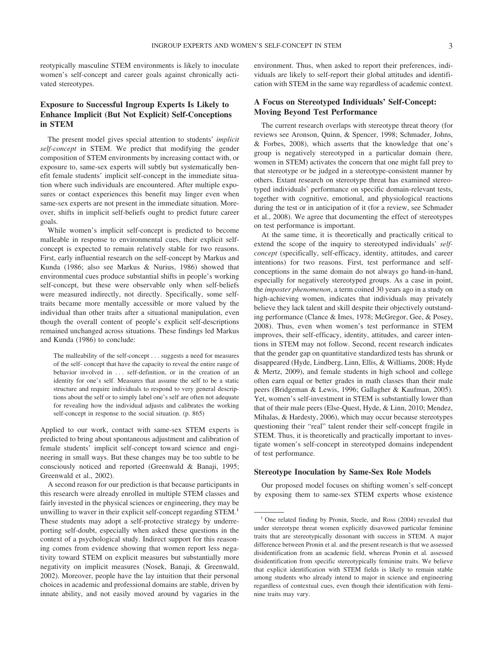reotypically masculine STEM environments is likely to inoculate women's self-concept and career goals against chronically activated stereotypes.

# **Exposure to Successful Ingroup Experts Is Likely to Enhance Implicit (But Not Explicit) Self-Conceptions in STEM**

The present model gives special attention to students' *implicit self-concept* in STEM. We predict that modifying the gender composition of STEM environments by increasing contact with, or exposure to, same-sex experts will subtly but systematically benefit female students' implicit self-concept in the immediate situation where such individuals are encountered. After multiple exposures or contact experiences this benefit may linger even when same-sex experts are not present in the immediate situation. Moreover, shifts in implicit self-beliefs ought to predict future career goals.

While women's implicit self-concept is predicted to become malleable in response to environmental cues, their explicit selfconcept is expected to remain relatively stable for two reasons. First, early influential research on the self-concept by Markus and Kunda (1986; also see Markus & Nurius, 1986) showed that environmental cues produce substantial shifts in people's working self-concept, but these were observable only when self-beliefs were measured indirectly, not directly. Specifically, some selftraits became more mentally accessible or more valued by the individual than other traits after a situational manipulation, even though the overall content of people's explicit self-descriptions remained unchanged across situations. These findings led Markus and Kunda (1986) to conclude:

The malleability of the self-concept . . . suggests a need for measures of the self- concept that have the capacity to reveal the entire range of behavior involved in . . . self-definition, or in the creation of an identity for one's self. Measures that assume the self to be a static structure and require individuals to respond to very general descriptions about the self or to simply label one's self are often not adequate for revealing how the individual adjusts and calibrates the working self-concept in response to the social situation. (p. 865)

Applied to our work, contact with same-sex STEM experts is predicted to bring about spontaneous adjustment and calibration of female students' implicit self-concept toward science and engineering in small ways. But these changes may be too subtle to be consciously noticed and reported (Greenwald & Banaji, 1995; Greenwald et al., 2002).

A second reason for our prediction is that because participants in this research were already enrolled in multiple STEM classes and fairly invested in the physical sciences or engineering, they may be unwilling to waver in their explicit self-concept regarding STEM.<sup>1</sup> These students may adopt a self-protective strategy by underreporting self-doubt, especially when asked these questions in the context of a psychological study. Indirect support for this reasoning comes from evidence showing that women report less negativity toward STEM on explicit measures but substantially more negativity on implicit measures (Nosek, Banaji, & Greenwald, 2002). Moreover, people have the lay intuition that their personal choices in academic and professional domains are stable, driven by innate ability, and not easily moved around by vagaries in the

environment. Thus, when asked to report their preferences, individuals are likely to self-report their global attitudes and identification with STEM in the same way regardless of academic context.

## **A Focus on Stereotyped Individuals' Self-Concept: Moving Beyond Test Performance**

The current research overlaps with stereotype threat theory (for reviews see Aronson, Quinn, & Spencer, 1998; Schmader, Johns, & Forbes, 2008), which asserts that the knowledge that one's group is negatively stereotyped in a particular domain (here, women in STEM) activates the concern that one might fall prey to that stereotype or be judged in a stereotype-consistent manner by others. Extant research on stereotype threat has examined stereotyped individuals' performance on specific domain-relevant tests, together with cognitive, emotional, and physiological reactions during the test or in anticipation of it (for a review, see Schmader et al., 2008). We agree that documenting the effect of stereotypes on test performance is important.

At the same time, it is theoretically and practically critical to extend the scope of the inquiry to stereotyped individuals' *selfconcept* (specifically, self-efficacy, identity, attitudes, and career intentions) for two reasons. First, test performance and selfconceptions in the same domain do not always go hand-in-hand, especially for negatively stereotyped groups. As a case in point, the *imposter phenomenon*, a term coined 30 years ago in a study on high-achieving women, indicates that individuals may privately believe they lack talent and skill despite their objectively outstanding performance (Clance & Imes, 1978; McGregor, Gee, & Posey, 2008). Thus, even when women's test performance in STEM improves, their self-efficacy, identity, attitudes, and career intentions in STEM may not follow. Second, recent research indicates that the gender gap on quantitative standardized tests has shrunk or disappeared (Hyde, Lindberg, Linn, Ellis, & Williams, 2008; Hyde & Mertz, 2009), and female students in high school and college often earn equal or better grades in math classes than their male peers (Bridgeman & Lewis, 1996; Gallagher & Kaufman, 2005). Yet, women's self-investment in STEM is substantially lower than that of their male peers (Else-Quest, Hyde, & Linn, 2010; Mendez, Mihalas, & Hardesty, 2006), which may occur because stereotypes questioning their "real" talent render their self-concept fragile in STEM. Thus, it is theoretically and practically important to investigate women's self-concept in stereotyped domains independent of test performance.

#### **Stereotype Inoculation by Same-Sex Role Models**

Our proposed model focuses on shifting women's self-concept by exposing them to same-sex STEM experts whose existence

<sup>&</sup>lt;sup>1</sup> One related finding by Pronin, Steele, and Ross (2004) revealed that under stereotype threat women explicitly disavowed particular feminine traits that are stereotypically dissonant with success in STEM. A major difference between Pronin et al. and the present research is that we assessed disidentification from an academic field, whereas Pronin et al. assessed disidentification from specific stereotypically feminine traits. We believe that explicit identification with STEM fields is likely to remain stable among students who already intend to major in science and engineering regardless of contextual cues, even though their identification with feminine traits may vary.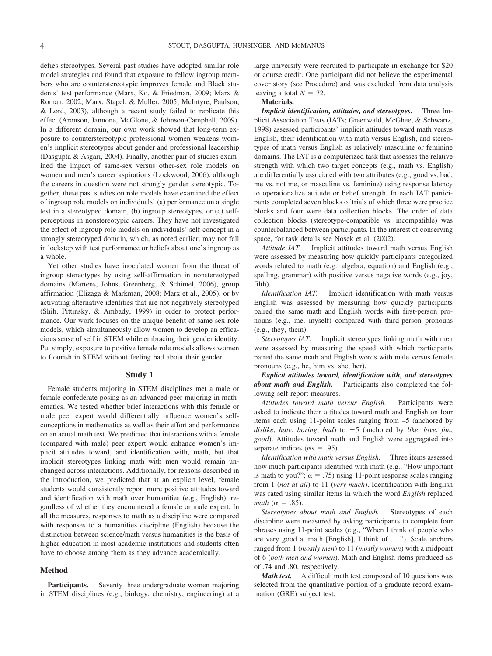defies stereotypes. Several past studies have adopted similar role model strategies and found that exposure to fellow ingroup members who are counterstereotypic improves female and Black students' test performance (Marx, Ko, & Friedman, 2009; Marx & Roman, 2002; Marx, Stapel, & Muller, 2005; McIntyre, Paulson, & Lord, 2003), although a recent study failed to replicate this effect (Aronson, Jannone, McGlone, & Johnson-Campbell, 2009). In a different domain, our own work showed that long-term exposure to counterstereotypic professional women weakens women's implicit stereotypes about gender and professional leadership (Dasgupta & Asgari, 2004). Finally, another pair of studies examined the impact of same-sex versus other-sex role models on women and men's career aspirations (Lockwood, 2006), although the careers in question were not strongly gender stereotypic. Together, these past studies on role models have examined the effect of ingroup role models on individuals' (a) performance on a single test in a stereotyped domain, (b) ingroup stereotypes, or (c) selfperceptions in nonstereotypic careers. They have not investigated the effect of ingroup role models on individuals' self-concept in a strongly stereotyped domain, which, as noted earlier, may not fall in lockstep with test performance or beliefs about one's ingroup as a whole.

Yet other studies have inoculated women from the threat of ingroup stereotypes by using self-affirmation in nonstereotyped domains (Martens, Johns, Greenberg, & Schimel, 2006), group affirmation (Elizaga & Markman, 2008; Marx et al., 2005), or by activating alternative identities that are not negatively stereotyped (Shih, Pittinsky, & Ambady, 1999) in order to protect performance. Our work focuses on the unique benefit of same-sex role models, which simultaneously allow women to develop an efficacious sense of self in STEM while embracing their gender identity. Put simply, exposure to positive female role models allows women to flourish in STEM without feeling bad about their gender.

#### **Study 1**

Female students majoring in STEM disciplines met a male or female confederate posing as an advanced peer majoring in mathematics. We tested whether brief interactions with this female or male peer expert would differentially influence women's selfconceptions in mathematics as well as their effort and performance on an actual math test. We predicted that interactions with a female (compared with male) peer expert would enhance women's implicit attitudes toward, and identification with, math, but that implicit stereotypes linking math with men would remain unchanged across interactions. Additionally, for reasons described in the introduction, we predicted that at an explicit level, female students would consistently report more positive attitudes toward and identification with math over humanities (e.g., English), regardless of whether they encountered a female or male expert. In all the measures, responses to math as a discipline were compared with responses to a humanities discipline (English) because the distinction between science/math versus humanities is the basis of higher education in most academic institutions and students often have to choose among them as they advance academically.

#### **Method**

Participants. Seventy three undergraduate women majoring in STEM disciplines (e.g., biology, chemistry, engineering) at a large university were recruited to participate in exchange for \$20 or course credit. One participant did not believe the experimental cover story (see Procedure) and was excluded from data analysis leaving a total  $N = 72$ .

#### **Materials.**

*Implicit identification, attitudes, and stereotypes.* Three Implicit Association Tests (IATs; Greenwald, McGhee, & Schwartz, 1998) assessed participants' implicit attitudes toward math versus English, their identification with math versus English, and stereotypes of math versus English as relatively masculine or feminine domains. The IAT is a computerized task that assesses the relative strength with which two target concepts (e.g., math vs. English) are differentially associated with two attributes (e.g., good vs. bad, me vs. not me, or masculine vs. feminine) using response latency to operationalize attitude or belief strength. In each IAT participants completed seven blocks of trials of which three were practice blocks and four were data collection blocks. The order of data collection blocks (stereotype-compatible vs. incompatible) was counterbalanced between participants. In the interest of conserving space, for task details see Nosek et al. (2002).

*Attitude IAT.* Implicit attitudes toward math versus English were assessed by measuring how quickly participants categorized words related to math (e.g., algebra, equation) and English (e.g., spelling, grammar) with positive versus negative words (e.g., joy, filth).

*Identification IAT.* Implicit identification with math versus English was assessed by measuring how quickly participants paired the same math and English words with first-person pronouns (e.g., me, myself) compared with third-person pronouns (e.g., they, them).

*Stereotypes IAT.* Implicit stereotypes linking math with men were assessed by measuring the speed with which participants paired the same math and English words with male versus female pronouns (e.g., he, him vs. she, her).

*Explicit attitudes toward, identification with, and stereotypes about math and English.* Participants also completed the following self-report measures.

*Attitudes toward math versus English.* Participants were asked to indicate their attitudes toward math and English on four items each using 11-point scales ranging from –5 (anchored by *dislike*, *hate*, *boring*, *bad*) to -5 (anchored by *like*, *love*, *fun*, *good*). Attitudes toward math and English were aggregated into separate indices ( $\alpha$ s = .95).

*Identification with math versus English.* Three items assessed how much participants identified with math (e.g., "How important is math to you?";  $\alpha = .75$ ) using 11-point response scales ranging from 1 (*not at all*) to 11 (*very much*). Identification with English was rated using similar items in which the word *English* replaced *math* ( $\alpha$  = .85).

*Stereotypes about math and English.* Stereotypes of each discipline were measured by asking participants to complete four phrases using 11-point scales (e.g., "When I think of people who are very good at math [English], I think of . . ."). Scale anchors ranged from 1 (*mostly men*) to 11 (*mostly women*) with a midpoint of  $6$  (*both men and women*). Math and English items produced  $\alpha s$ of .74 and .80, respectively.

*Math test.* A difficult math test composed of 10 questions was selected from the quantitative portion of a graduate record examination (GRE) subject test.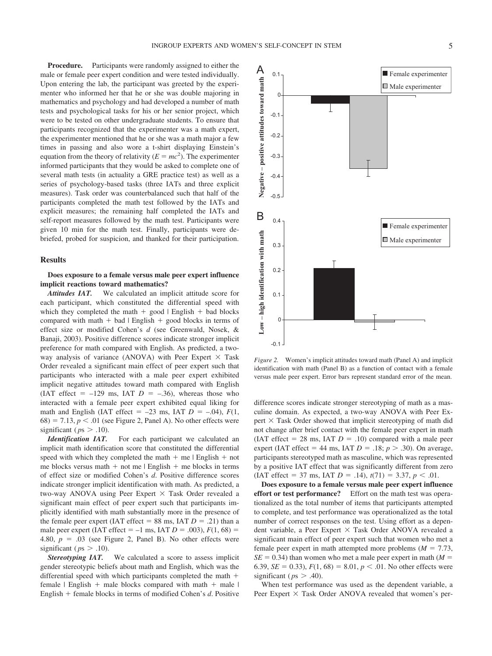**Procedure.** Participants were randomly assigned to either the male or female peer expert condition and were tested individually. Upon entering the lab, the participant was greeted by the experimenter who informed her that he or she was double majoring in mathematics and psychology and had developed a number of math tests and psychological tasks for his or her senior project, which were to be tested on other undergraduate students. To ensure that participants recognized that the experimenter was a math expert, the experimenter mentioned that he or she was a math major a few times in passing and also wore a t-shirt displaying Einstein's equation from the theory of relativity ( $E = mc^2$ ). The experimenter informed participants that they would be asked to complete one of several math tests (in actuality a GRE practice test) as well as a series of psychology-based tasks (three IATs and three explicit measures). Task order was counterbalanced such that half of the participants completed the math test followed by the IATs and explicit measures; the remaining half completed the IATs and self-report measures followed by the math test. Participants were given 10 min for the math test. Finally, participants were debriefed, probed for suspicion, and thanked for their participation.

#### **Results**

#### **Does exposure to a female versus male peer expert influence implicit reactions toward mathematics?**

*Attitudes IAT.* We calculated an implicit attitude score for each participant, which constituted the differential speed with which they completed the math  $+$  good  $\vert$  English  $+$  bad blocks compared with math  $+$  bad  $\vert$  English  $+$  good blocks in terms of effect size or modified Cohen's *d* (see Greenwald, Nosek, & Banaji, 2003). Positive difference scores indicate stronger implicit preference for math compared with English. As predicted, a twoway analysis of variance (ANOVA) with Peer Expert  $\times$  Task Order revealed a significant main effect of peer expert such that participants who interacted with a male peer expert exhibited implicit negative attitudes toward math compared with English (IAT effect  $= -129$  ms, IAT  $D = -.36$ ), whereas those who interacted with a female peer expert exhibited equal liking for math and English (IAT effect  $= -23$  ms, IAT  $D = -.04$ ),  $F(1, 1)$  $68$ ) = 7.13,  $p < 0.01$  (see Figure 2, Panel A). No other effects were significant ( $p_s > .10$ ).

*Identification IAT.* For each participant we calculated an implicit math identification score that constituted the differential speed with which they completed the math  $+$  me  $\vert$  English  $+$  not me blocks versus math + not me | English + me blocks in terms of effect size or modified Cohen's *d*. Positive difference scores indicate stronger implicit identification with math. As predicted, a two-way ANOVA using Peer Expert  $\times$  Task Order revealed a significant main effect of peer expert such that participants implicitly identified with math substantially more in the presence of the female peer expert (IAT effect  $= 88$  ms, IAT  $D = .21$ ) than a male peer expert (IAT effect =  $-1$  ms, IAT  $D = .003$ ),  $F(1, 68) =$ 4.80,  $p = .03$  (see Figure 2, Panel B). No other effects were significant ( $p_s > .10$ ).

*Stereotyping IAT.* We calculated a score to assess implicit gender stereotypic beliefs about math and English, which was the differential speed with which participants completed the math  $+$  $f$  female  $\vert$  English  $+$  male blocks compared with math  $+$  male  $\vert$ English - female blocks in terms of modified Cohen's *d*. Positive

*Figure 2.* Women's implicit attitudes toward math (Panel A) and implicit identification with math (Panel B) as a function of contact with a female versus male peer expert. Error bars represent standard error of the mean.

difference scores indicate stronger stereotyping of math as a masculine domain. As expected, a two-way ANOVA with Peer Expert  $\times$  Task Order showed that implicit stereotyping of math did not change after brief contact with the female peer expert in math (IAT effect  $= 28$  ms, IAT  $D = .10$ ) compared with a male peer expert (IAT effect = 44 ms, IAT  $D = .18$ ;  $p > .30$ ). On average, participants stereotyped math as masculine, which was represented by a positive IAT effect that was significantly different from zero  $(IAT \text{ effect} = 37 \text{ ms}, IAT D = .14), t(71) = 3.37, p < .01.$ 

**Does exposure to a female versus male peer expert influence effort or test performance?** Effort on the math test was operationalized as the total number of items that participants attempted to complete, and test performance was operationalized as the total number of correct responses on the test. Using effort as a dependent variable, a Peer Expert  $\times$  Task Order ANOVA revealed a significant main effect of peer expert such that women who met a female peer expert in math attempted more problems  $(M = 7.73)$ ,  $SE = 0.34$ ) than women who met a male peer expert in math ( $M =$ 6.39, *SE* = 0.33),  $F(1, 68) = 8.01$ ,  $p < .01$ . No other effects were significant ( $p_s > .40$ ).

When test performance was used as the dependent variable, a Peer Expert  $\times$  Task Order ANOVA revealed that women's per-

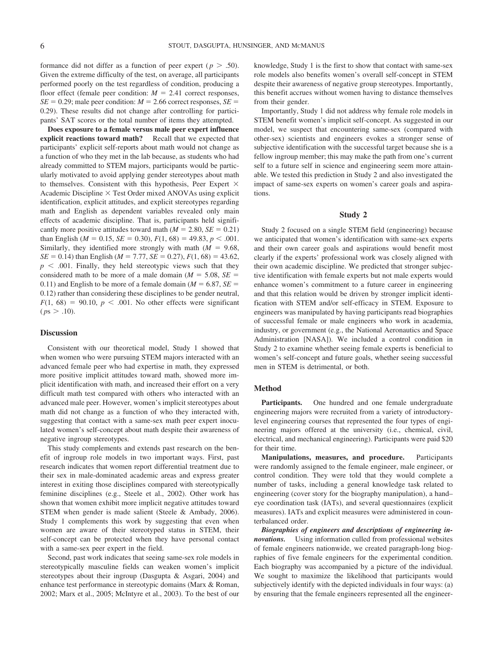formance did not differ as a function of peer expert ( $p > .50$ ). Given the extreme difficulty of the test, on average, all participants performed poorly on the test regardless of condition, producing a floor effect (female peer condition:  $M = 2.41$  correct responses,  $SE = 0.29$ ; male peer condition:  $M = 2.66$  correct responses,  $SE =$ 0.29). These results did not change after controlling for participants' SAT scores or the total number of items they attempted.

**Does exposure to a female versus male peer expert influence explicit reactions toward math?** Recall that we expected that participants' explicit self-reports about math would not change as a function of who they met in the lab because, as students who had already committed to STEM majors, participants would be particularly motivated to avoid applying gender stereotypes about math to themselves. Consistent with this hypothesis, Peer Expert  $\times$ Academic Discipline  $\times$  Test Order mixed ANOVAs using explicit identification, explicit attitudes, and explicit stereotypes regarding math and English as dependent variables revealed only main effects of academic discipline. That is, participants held significantly more positive attitudes toward math  $(M = 2.80, SE = 0.21)$ than English ( $M = 0.15$ ,  $SE = 0.30$ ),  $F(1, 68) = 49.83$ ,  $p < .001$ . Similarly, they identified more strongly with math  $(M = 9.68,$  $SE = 0.14$ ) than English ( $M = 7.77$ ,  $SE = 0.27$ ),  $F(1, 68) = 43.62$ ,  $p < .001$ . Finally, they held stereotypic views such that they considered math to be more of a male domain ( $M = 5.08$ ,  $SE =$ 0.11) and English to be more of a female domain ( $M = 6.87$ ,  $SE =$ 0.12) rather than considering these disciplines to be gender neutral,  $F(1, 68) = 90.10$ ,  $p < .001$ . No other effects were significant  $(ps > .10).$ 

### **Discussion**

Consistent with our theoretical model, Study 1 showed that when women who were pursuing STEM majors interacted with an advanced female peer who had expertise in math, they expressed more positive implicit attitudes toward math, showed more implicit identification with math, and increased their effort on a very difficult math test compared with others who interacted with an advanced male peer. However, women's implicit stereotypes about math did not change as a function of who they interacted with, suggesting that contact with a same-sex math peer expert inoculated women's self-concept about math despite their awareness of negative ingroup stereotypes.

This study complements and extends past research on the benefit of ingroup role models in two important ways. First, past research indicates that women report differential treatment due to their sex in male-dominated academic areas and express greater interest in exiting those disciplines compared with stereotypically feminine disciplines (e.g., Steele et al., 2002). Other work has shown that women exhibit more implicit negative attitudes toward STEM when gender is made salient (Steele & Ambady, 2006). Study 1 complements this work by suggesting that even when women are aware of their stereotyped status in STEM, their self-concept can be protected when they have personal contact with a same-sex peer expert in the field.

Second, past work indicates that seeing same-sex role models in stereotypically masculine fields can weaken women's implicit stereotypes about their ingroup (Dasgupta & Asgari, 2004) and enhance test performance in stereotypic domains (Marx & Roman, 2002; Marx et al., 2005; McIntyre et al., 2003). To the best of our knowledge, Study 1 is the first to show that contact with same-sex role models also benefits women's overall self-concept in STEM despite their awareness of negative group stereotypes. Importantly, this benefit accrues without women having to distance themselves from their gender.

Importantly, Study 1 did not address why female role models in STEM benefit women's implicit self-concept. As suggested in our model, we suspect that encountering same-sex (compared with other-sex) scientists and engineers evokes a stronger sense of subjective identification with the successful target because she is a fellow ingroup member; this may make the path from one's current self to a future self in science and engineering seem more attainable. We tested this prediction in Study 2 and also investigated the impact of same-sex experts on women's career goals and aspirations.

### **Study 2**

Study 2 focused on a single STEM field (engineering) because we anticipated that women's identification with same-sex experts and their own career goals and aspirations would benefit most clearly if the experts' professional work was closely aligned with their own academic discipline. We predicted that stronger subjective identification with female experts but not male experts would enhance women's commitment to a future career in engineering and that this relation would be driven by stronger implicit identification with STEM and/or self-efficacy in STEM. Exposure to engineers was manipulated by having participants read biographies of successful female or male engineers who work in academia, industry, or government (e.g., the National Aeronautics and Space Administration [NASA]). We included a control condition in Study 2 to examine whether seeing female experts is beneficial to women's self-concept and future goals, whether seeing successful men in STEM is detrimental, or both.

#### **Method**

Participants. One hundred and one female undergraduate engineering majors were recruited from a variety of introductorylevel engineering courses that represented the four types of engineering majors offered at the university (i.e., chemical, civil, electrical, and mechanical engineering). Participants were paid \$20 for their time.

**Manipulations, measures, and procedure.** Participants were randomly assigned to the female engineer, male engineer, or control condition. They were told that they would complete a number of tasks, including a general knowledge task related to engineering (cover story for the biography manipulation), a hand– eye coordination task (IATs), and several questionnaires (explicit measures). IATs and explicit measures were administered in counterbalanced order.

*Biographies of engineers and descriptions of engineering innovations.* Using information culled from professional websites of female engineers nationwide, we created paragraph-long biographies of five female engineers for the experimental condition. Each biography was accompanied by a picture of the individual. We sought to maximize the likelihood that participants would subjectively identify with the depicted individuals in four ways: (a) by ensuring that the female engineers represented all the engineer-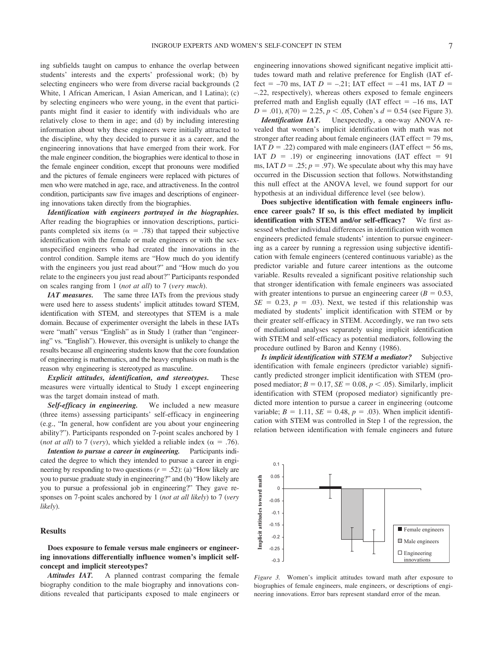ing subfields taught on campus to enhance the overlap between students' interests and the experts' professional work; (b) by selecting engineers who were from diverse racial backgrounds (2 White, 1 African American, 1 Asian American, and 1 Latina); (c) by selecting engineers who were young, in the event that participants might find it easier to identify with individuals who are relatively close to them in age; and (d) by including interesting information about why these engineers were initially attracted to the discipline, why they decided to pursue it as a career, and the engineering innovations that have emerged from their work. For the male engineer condition, the biographies were identical to those in the female engineer condition, except that pronouns were modified and the pictures of female engineers were replaced with pictures of men who were matched in age, race, and attractiveness. In the control condition, participants saw five images and descriptions of engineering innovations taken directly from the biographies.

*Identification with engineers portrayed in the biographies.* After reading the biographies or innovation descriptions, participants completed six items ( $\alpha = .78$ ) that tapped their subjective identification with the female or male engineers or with the sexunspecified engineers who had created the innovations in the control condition. Sample items are "How much do you identify with the engineers you just read about?" and "How much do you relate to the engineers you just read about?" Participants responded on scales ranging from 1 (*not at all*) to 7 (*very much*).

*IAT measures.* The same three IATs from the previous study were used here to assess students' implicit attitudes toward STEM, identification with STEM, and stereotypes that STEM is a male domain. Because of experimenter oversight the labels in these IATs were "math" versus "English" as in Study 1 (rather than "engineering" vs. "English"). However, this oversight is unlikely to change the results because all engineering students know that the core foundation of engineering is mathematics, and the heavy emphasis on math is the reason why engineering is stereotyped as masculine.

*Explicit attitudes, identification, and stereotypes.* These measures were virtually identical to Study 1 except engineering was the target domain instead of math.

*Self-efficacy in engineering.* We included a new measure (three items) assessing participants' self-efficacy in engineering (e.g., "In general, how confident are you about your engineering ability?"). Participants responded on 7-point scales anchored by 1 (*not at all*) to 7 (*very*), which yielded a reliable index ( $\alpha = .76$ ).

*Intention to pursue a career in engineering.* Participants indicated the degree to which they intended to pursue a career in engineering by responding to two questions  $(r = .52)$ : (a) "How likely are you to pursue graduate study in engineering?" and (b) "How likely are you to pursue a professional job in engineering?" They gave responses on 7-point scales anchored by 1 (*not at all likely*) to 7 (*very likely*).

#### **Results**

# Does exposure to female versus male engineers or engineer**ing innovations differentially influence women's implicit selfconcept and implicit stereotypes?**

*Attitudes IAT.* A planned contrast comparing the female biography condition to the male biography and innovations conditions revealed that participants exposed to male engineers or engineering innovations showed significant negative implicit attitudes toward math and relative preference for English (IAT effect =  $-70$  ms, IAT  $D = -0.21$ ; IAT effect =  $-41$  ms, IAT  $D =$ –.22, respectively), whereas others exposed to female engineers preferred math and English equally (IAT effect  $= -16$  ms, IAT  $D = .01$ ,  $t(70) = 2.25$ ,  $p < .05$ , Cohen's  $d = 0.54$  (see Figure 3). *Identification IAT.* Unexpectedly, a one-way ANOVA revealed that women's implicit identification with math was not stronger after reading about female engineers (IAT effect  $= 79$  ms, IAT  $D = .22$ ) compared with male engineers (IAT effect  $= 56$  ms, IAT  $D = .19$ ) or engineering innovations (IAT effect  $= 91$ ms, IAT  $D = .25$ ;  $p = .97$ ). We speculate about why this may have occurred in the Discussion section that follows. Notwithstanding

this null effect at the ANOVA level, we found support for our

hypothesis at an individual difference level (see below). **Does subjective identification with female engineers influence career goals? If so, is this effect mediated by implicit identification with STEM and/or self-efficacy?** We first assessed whether individual differences in identification with women engineers predicted female students' intention to pursue engineering as a career by running a regression using subjective identification with female engineers (centered continuous variable) as the predictor variable and future career intentions as the outcome variable. Results revealed a significant positive relationship such that stronger identification with female engineers was associated with greater intentions to pursue an engineering career ( $B = 0.53$ ,  $SE = 0.23$ ,  $p = .03$ ). Next, we tested if this relationship was mediated by students' implicit identification with STEM or by their greater self-efficacy in STEM. Accordingly, we ran two sets of mediational analyses separately using implicit identification with STEM and self-efficacy as potential mediators, following the procedure outlined by Baron and Kenny (1986).

*Is implicit identification with STEM a mediator?* Subjective identification with female engineers (predictor variable) significantly predicted stronger implicit identification with STEM (proposed mediator;  $B = 0.17$ ,  $SE = 0.08$ ,  $p < .05$ ). Similarly, implicit identification with STEM (proposed mediator) significantly predicted more intention to pursue a career in engineering (outcome variable;  $B = 1.11$ ,  $SE = 0.48$ ,  $p = .03$ ). When implicit identification with STEM was controlled in Step 1 of the regression, the relation between identification with female engineers and future



*Figure 3.* Women's implicit attitudes toward math after exposure to biographies of female engineers, male engineers, or descriptions of engineering innovations. Error bars represent standard error of the mean.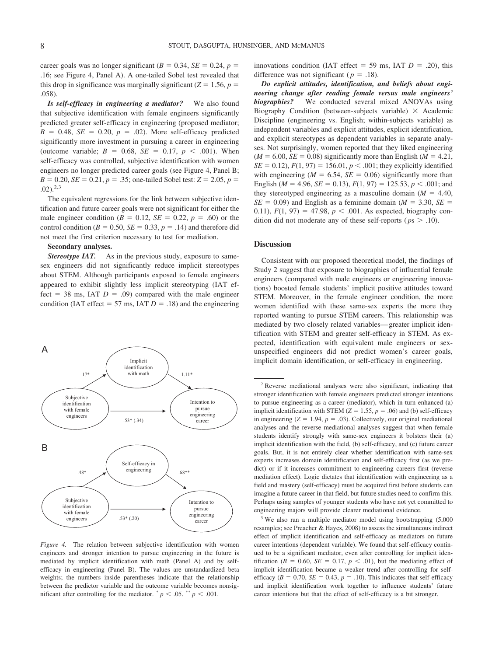career goals was no longer significant ( $B = 0.34$ ,  $SE = 0.24$ ,  $p =$ .16; see Figure 4, Panel A). A one-tailed Sobel test revealed that this drop in significance was marginally significant ( $Z = 1.56$ ,  $p =$ .058).

*Is self-efficacy in engineering a mediator?* We also found that subjective identification with female engineers significantly predicted greater self-efficacy in engineering (proposed mediator;  $B = 0.48$ ,  $SE = 0.20$ ,  $p = .02$ ). More self-efficacy predicted significantly more investment in pursuing a career in engineering (outcome variable;  $B = 0.68$ ,  $SE = 0.17$ ,  $p < .001$ ). When self-efficacy was controlled, subjective identification with women engineers no longer predicted career goals (see Figure 4, Panel B;  $B = 0.20$ ,  $SE = 0.21$ ,  $p = .35$ ; one-tailed Sobel test:  $Z = 2.05$ ,  $p =$  $.02$ ) $.^{2,3}$ 

The equivalent regressions for the link between subjective identification and future career goals were not significant for either the male engineer condition ( $B = 0.12$ ,  $SE = 0.22$ ,  $p = .60$ ) or the control condition ( $B = 0.50$ ,  $SE = 0.33$ ,  $p = .14$ ) and therefore did not meet the first criterion necessary to test for mediation.

#### **Secondary analyses.**

**Stereotype IAT.** As in the previous study, exposure to samesex engineers did not significantly reduce implicit stereotypes about STEM. Although participants exposed to female engineers appeared to exhibit slightly less implicit stereotyping (IAT effect  $=$  38 ms, IAT  $D = .09$ ) compared with the male engineer condition (IAT effect  $= 57$  ms, IAT  $D = .18$ ) and the engineering



*Figure 4.* The relation between subjective identification with women engineers and stronger intention to pursue engineering in the future is mediated by implicit identification with math (Panel A) and by selfefficacy in engineering (Panel B). The values are unstandardized beta weights; the numbers inside parentheses indicate that the relationship between the predictor variable and the outcome variable becomes nonsignificant after controlling for the mediator.  $p < .05$ .  $p < .001$ .

innovations condition (IAT effect  $=$  59 ms, IAT  $D = .20$ ), this difference was not significant ( $p = .18$ ).

*Do explicit attitudes, identification, and beliefs about engineering change after reading female versus male engineers' biographies?* We conducted several mixed ANOVAs using Biography Condition (between-subjects variable)  $\times$  Academic Discipline (engineering vs. English; within-subjects variable) as independent variables and explicit attitudes, explicit identification, and explicit stereotypes as dependent variables in separate analyses. Not surprisingly, women reported that they liked engineering  $(M = 6.00, SE = 0.08)$  significantly more than English  $(M = 4.21,$  $SE = 0.12$ ,  $F(1, 97) = 156.01$ ,  $p < .001$ ; they explicitly identified with engineering ( $M = 6.54$ ,  $SE = 0.06$ ) significantly more than English ( $M = 4.96$ ,  $SE = 0.13$ ),  $F(1, 97) = 125.53$ ,  $p < .001$ ; and they stereotyped engineering as a masculine domain  $(M = 4.40,$  $SE = 0.09$ ) and English as a feminine domain ( $M = 3.30$ ,  $SE =$ 0.11),  $F(1, 97) = 47.98$ ,  $p < .001$ . As expected, biography condition did not moderate any of these self-reports ( $p_s > .10$ ).

#### **Discussion**

Consistent with our proposed theoretical model, the findings of Study 2 suggest that exposure to biographies of influential female engineers (compared with male engineers or engineering innovations) boosted female students' implicit positive attitudes toward STEM. Moreover, in the female engineer condition, the more women identified with these same-sex experts the more they reported wanting to pursue STEM careers. This relationship was mediated by two closely related variables— greater implicit identification with STEM and greater self-efficacy in STEM. As expected, identification with equivalent male engineers or sexunspecified engineers did not predict women's career goals, implicit domain identification, or self-efficacy in engineering.

<sup>2</sup> Reverse mediational analyses were also significant, indicating that stronger identification with female engineers predicted stronger intentions to pursue engineering as a career (mediator), which in turn enhanced (a) implicit identification with STEM ( $Z = 1.55$ ,  $p = .06$ ) and (b) self-efficacy in engineering  $(Z = 1.94, p = .03)$ . Collectively, our original mediational analyses and the reverse mediational analyses suggest that when female students identify strongly with same-sex engineers it bolsters their (a) implicit identification with the field, (b) self-efficacy, and (c) future career goals. But, it is not entirely clear whether identification with same-sex experts increases domain identification and self-efficacy first (as we predict) or if it increases commitment to engineering careers first (reverse mediation effect). Logic dictates that identification with engineering as a field and mastery (self-efficacy) must be acquired first before students can imagine a future career in that field, but future studies need to confirm this. Perhaps using samples of younger students who have not yet committed to engineering majors will provide clearer mediational evidence.

<sup>3</sup> We also ran a multiple mediator model using bootstrapping (5,000 resamples; see Preacher & Hayes, 2008) to assess the simultaneous indirect effect of implicit identification and self-efficacy as mediators on future career intentions (dependent variable). We found that self-efficacy continued to be a significant mediator, even after controlling for implicit identification ( $B = 0.60$ ,  $SE = 0.17$ ,  $p < .01$ ), but the mediating effect of implicit identification became a weaker trend after controlling for selfefficacy ( $B = 0.70$ ,  $SE = 0.43$ ,  $p = .10$ ). This indicates that self-efficacy and implicit identification work together to influence students' future career intentions but that the effect of self-efficacy is a bit stronger.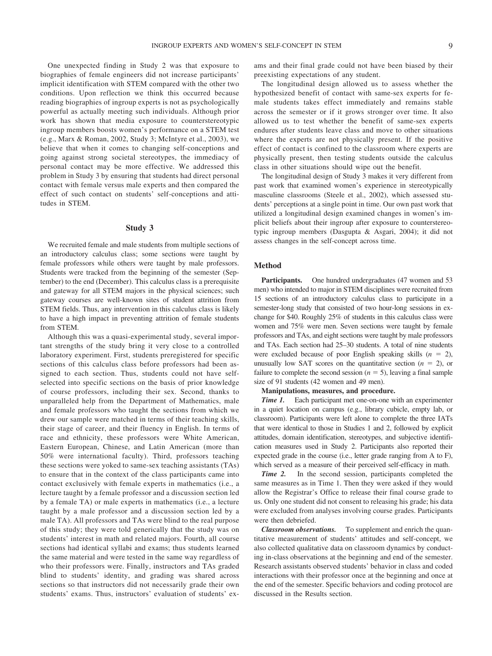One unexpected finding in Study 2 was that exposure to biographies of female engineers did not increase participants' implicit identification with STEM compared with the other two conditions. Upon reflection we think this occurred because reading biographies of ingroup experts is not as psychologically powerful as actually meeting such individuals. Although prior work has shown that media exposure to counterstereotypic ingroup members boosts women's performance on a STEM test (e.g., Marx & Roman, 2002, Study 3; McIntyre et al., 2003), we believe that when it comes to changing self-conceptions and going against strong societal stereotypes, the immediacy of personal contact may be more effective. We addressed this problem in Study 3 by ensuring that students had direct personal contact with female versus male experts and then compared the effect of such contact on students' self-conceptions and attitudes in STEM.

#### **Study 3**

We recruited female and male students from multiple sections of an introductory calculus class; some sections were taught by female professors while others were taught by male professors. Students were tracked from the beginning of the semester (September) to the end (December). This calculus class is a prerequisite and gateway for all STEM majors in the physical sciences; such gateway courses are well-known sites of student attrition from STEM fields. Thus, any intervention in this calculus class is likely to have a high impact in preventing attrition of female students from STEM.

Although this was a quasi-experimental study, several important strengths of the study bring it very close to a controlled laboratory experiment. First, students preregistered for specific sections of this calculus class before professors had been assigned to each section. Thus, students could not have selfselected into specific sections on the basis of prior knowledge of course professors, including their sex. Second, thanks to unparalleled help from the Department of Mathematics, male and female professors who taught the sections from which we drew our sample were matched in terms of their teaching skills, their stage of career, and their fluency in English. In terms of race and ethnicity, these professors were White American, Eastern European, Chinese, and Latin American (more than 50% were international faculty). Third, professors teaching these sections were yoked to same-sex teaching assistants (TAs) to ensure that in the context of the class participants came into contact exclusively with female experts in mathematics (i.e., a lecture taught by a female professor and a discussion section led by a female TA) or male experts in mathematics (i.e., a lecture taught by a male professor and a discussion section led by a male TA). All professors and TAs were blind to the real purpose of this study; they were told generically that the study was on students' interest in math and related majors. Fourth, all course sections had identical syllabi and exams; thus students learned the same material and were tested in the same way regardless of who their professors were. Finally, instructors and TAs graded blind to students' identity, and grading was shared across sections so that instructors did not necessarily grade their own students' exams. Thus, instructors' evaluation of students' exams and their final grade could not have been biased by their preexisting expectations of any student.

The longitudinal design allowed us to assess whether the hypothesized benefit of contact with same-sex experts for female students takes effect immediately and remains stable across the semester or if it grows stronger over time. It also allowed us to test whether the benefit of same-sex experts endures after students leave class and move to other situations where the experts are not physically present. If the positive effect of contact is confined to the classroom where experts are physically present, then testing students outside the calculus class in other situations should wipe out the benefit.

The longitudinal design of Study 3 makes it very different from past work that examined women's experience in stereotypically masculine classrooms (Steele et al., 2002), which assessed students' perceptions at a single point in time. Our own past work that utilized a longitudinal design examined changes in women's implicit beliefs about their ingroup after exposure to counterstereotypic ingroup members (Dasgupta & Asgari, 2004); it did not assess changes in the self-concept across time.

#### **Method**

Participants. One hundred undergraduates (47 women and 53 men) who intended to major in STEM disciplines were recruited from 15 sections of an introductory calculus class to participate in a semester-long study that consisted of two hour-long sessions in exchange for \$40. Roughly 25% of students in this calculus class were women and 75% were men. Seven sections were taught by female professors and TAs, and eight sections were taught by male professors and TAs. Each section had 25–30 students. A total of nine students were excluded because of poor English speaking skills  $(n = 2)$ , unusually low SAT scores on the quantitative section  $(n = 2)$ , or failure to complete the second session  $(n = 5)$ , leaving a final sample size of 91 students (42 women and 49 men).

#### **Manipulations, measures, and procedure.**

*Time 1.* Each participant met one-on-one with an experimenter in a quiet location on campus (e.g., library cubicle, empty lab, or classroom). Participants were left alone to complete the three IATs that were identical to those in Studies 1 and 2, followed by explicit attitudes, domain identification, stereotypes, and subjective identification measures used in Study 2. Participants also reported their expected grade in the course (i.e., letter grade ranging from A to F), which served as a measure of their perceived self-efficacy in math.

*Time 2.* In the second session, participants completed the same measures as in Time 1. Then they were asked if they would allow the Registrar's Office to release their final course grade to us. Only one student did not consent to releasing his grade; his data were excluded from analyses involving course grades. Participants were then debriefed.

*Classroom observations.* To supplement and enrich the quantitative measurement of students' attitudes and self-concept, we also collected qualitative data on classroom dynamics by conducting in-class observations at the beginning and end of the semester. Research assistants observed students' behavior in class and coded interactions with their professor once at the beginning and once at the end of the semester. Specific behaviors and coding protocol are discussed in the Results section.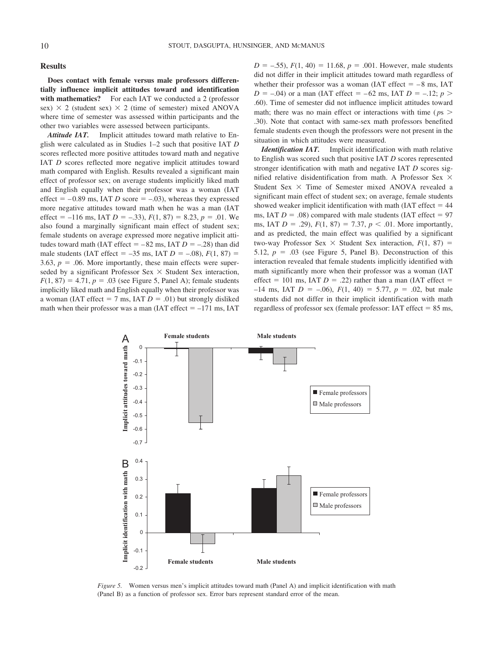#### **Results**

**Does contact with female versus male professors differentially influence implicit attitudes toward and identification** with mathematics? For each IAT we conducted a 2 (professor sex)  $\times$  2 (student sex)  $\times$  2 (time of semester) mixed ANOVA where time of semester was assessed within participants and the other two variables were assessed between participants.

*Attitude IAT.* Implicit attitudes toward math relative to English were calculated as in Studies 1–2 such that positive IAT *D* scores reflected more positive attitudes toward math and negative IAT *D* scores reflected more negative implicit attitudes toward math compared with English. Results revealed a significant main effect of professor sex; on average students implicitly liked math and English equally when their professor was a woman (IAT effect  $= -0.89$  ms, IAT *D* score  $= -0.03$ , whereas they expressed more negative attitudes toward math when he was a man (IAT effect =  $-116$  ms, IAT  $D = -.33$ ),  $F(1, 87) = 8.23$ ,  $p = .01$ . We also found a marginally significant main effect of student sex; female students on average expressed more negative implicit attitudes toward math (IAT effect  $= -82$  ms, IAT  $D = -.28$ ) than did male students (IAT effect =  $-35$  ms, IAT  $D = -.08$ ),  $F(1, 87) =$ 3.63,  $p = .06$ . More importantly, these main effects were superseded by a significant Professor Sex  $\times$  Student Sex interaction,  $F(1, 87) = 4.71$ ,  $p = .03$  (see Figure 5, Panel A); female students implicitly liked math and English equally when their professor was a woman (IAT effect  $= 7$  ms, IAT  $D = .01$ ) but strongly disliked math when their professor was a man (IAT effect  $= -171$  ms, IAT  $D = -.55$ ,  $F(1, 40) = 11.68$ ,  $p = .001$ . However, male students did not differ in their implicit attitudes toward math regardless of whether their professor was a woman (IAT effect  $= -8$  ms, IAT  $D = -.04$ ) or a man (IAT effect = -62 ms, IAT  $D = -.12$ ;  $p >$ .60). Time of semester did not influence implicit attitudes toward math; there was no main effect or interactions with time ( $p s$ ) .30). Note that contact with same-sex math professors benefited female students even though the professors were not present in the situation in which attitudes were measured.

*Identification IAT.* Implicit identification with math relative to English was scored such that positive IAT *D* scores represented stronger identification with math and negative IAT *D* scores signified relative disidentification from math. A Professor Sex  $\times$ Student Sex  $\times$  Time of Semester mixed ANOVA revealed a significant main effect of student sex; on average, female students showed weaker implicit identification with math (IAT effect  $= 44$ ms, IAT  $D = .08$ ) compared with male students (IAT effect = 97 ms, IAT  $D = .29$ ,  $F(1, 87) = 7.37$ ,  $p < .01$ . More importantly, and as predicted, the main effect was qualified by a significant two-way Professor Sex  $\times$  Student Sex interaction,  $F(1, 87)$  = 5.12,  $p = .03$  (see Figure 5, Panel B). Deconstruction of this interaction revealed that female students implicitly identified with math significantly more when their professor was a woman (IAT effect = 101 ms, IAT  $D = .22$ ) rather than a man (IAT effect =  $-14$  ms, IAT  $D = -.06$ ,  $F(1, 40) = 5.77$ ,  $p = .02$ , but male students did not differ in their implicit identification with math regardless of professor sex (female professor: IAT effect  $= 85$  ms,



*Figure 5.* Women versus men's implicit attitudes toward math (Panel A) and implicit identification with math (Panel B) as a function of professor sex. Error bars represent standard error of the mean.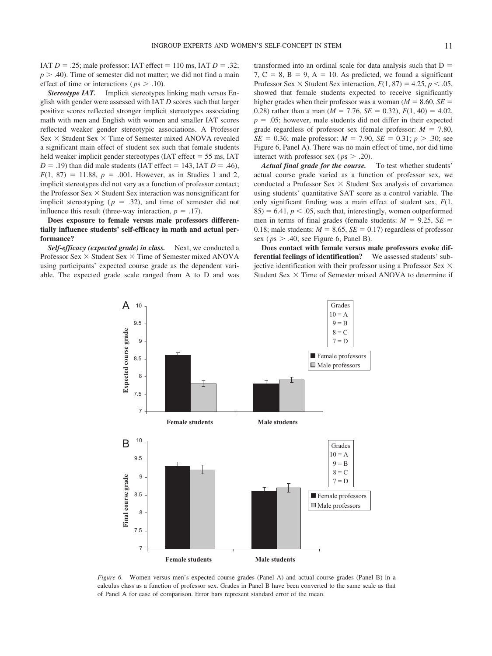IAT  $D = .25$ ; male professor: IAT effect = 110 ms, IAT  $D = .32$ ;  $p > .40$ ). Time of semester did not matter; we did not find a main effect of time or interactions ( $p_s > .10$ ).

*Stereotype IAT.* Implicit stereotypes linking math versus English with gender were assessed with IAT *D* scores such that larger positive scores reflected stronger implicit stereotypes associating math with men and English with women and smaller IAT scores reflected weaker gender stereotypic associations. A Professor  $Sex \times Student Sex \times Time$  of Semester mixed ANOVA revealed a significant main effect of student sex such that female students held weaker implicit gender stereotypes (IAT effect  $= 55$  ms, IAT  $D = .19$ ) than did male students (IAT effect = 143, IAT  $D = .46$ ),  $F(1, 87) = 11.88$ ,  $p = .001$ . However, as in Studies 1 and 2, implicit stereotypes did not vary as a function of professor contact; the Professor Sex  $\times$  Student Sex interaction was nonsignificant for implicit stereotyping ( $p = .32$ ), and time of semester did not influence this result (three-way interaction,  $p = .17$ ).

**Does exposure to female versus male professors differentially influence students' self-efficacy in math and actual performance?**

*Self-efficacy (expected grade) in class.* Next, we conducted a Professor Sex  $\times$  Student Sex  $\times$  Time of Semester mixed ANOVA using participants' expected course grade as the dependent variable. The expected grade scale ranged from A to D and was transformed into an ordinal scale for data analysis such that  $D =$ 7,  $C = 8$ ,  $B = 9$ ,  $A = 10$ . As predicted, we found a significant Professor Sex  $\times$  Student Sex interaction,  $F(1, 87) = 4.25$ ,  $p < .05$ , showed that female students expected to receive significantly higher grades when their professor was a woman  $(M = 8.60, SE =$ 0.28) rather than a man ( $M = 7.76$ ,  $SE = 0.32$ ),  $F(1, 40) = 4.02$ ,  $p = .05$ ; however, male students did not differ in their expected grade regardless of professor sex (female professor:  $M = 7.80$ , *SE* = 0.36; male professor:  $M = 7.90$ , *SE* = 0.31;  $p > .30$ ; see Figure 6, Panel A). There was no main effect of time, nor did time interact with professor sex ( $p_s > .20$ ).

*Actual final grade for the course.* To test whether students' actual course grade varied as a function of professor sex, we conducted a Professor Sex  $\times$  Student Sex analysis of covariance using students' quantitative SAT score as a control variable. The only significant finding was a main effect of student sex, *F*(1,  $85$ ) = 6.41,  $p < .05$ , such that, interestingly, women outperformed men in terms of final grades (female students:  $M = 9.25$ ,  $SE =$ 0.18; male students:  $M = 8.65$ ,  $SE = 0.17$ ) regardless of professor sex ( $ps > .40$ ; see Figure 6, Panel B).

**Does contact with female versus male professors evoke differential feelings of identification?** We assessed students' subjective identification with their professor using a Professor Sex  $\times$ Student Sex  $\times$  Time of Semester mixed ANOVA to determine if



*Figure 6.* Women versus men's expected course grades (Panel A) and actual course grades (Panel B) in a calculus class as a function of professor sex. Grades in Panel B have been converted to the same scale as that of Panel A for ease of comparison. Error bars represent standard error of the mean.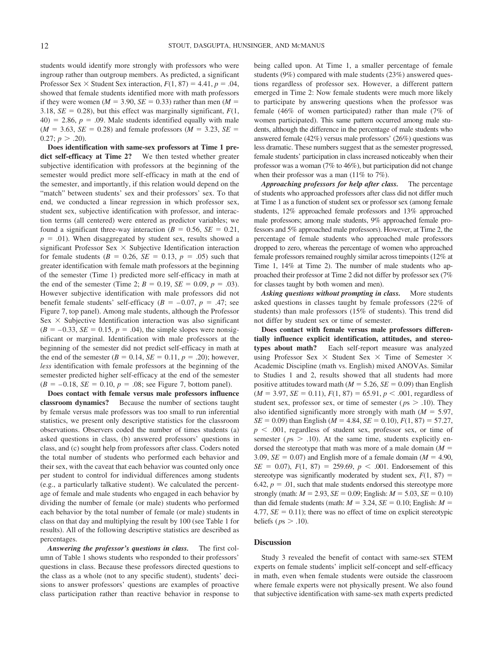students would identify more strongly with professors who were ingroup rather than outgroup members. As predicted, a significant Professor Sex  $\times$  Student Sex interaction,  $F(1, 87) = 4.41$ ,  $p = .04$ , showed that female students identified more with math professors if they were women ( $M = 3.90$ ,  $SE = 0.33$ ) rather than men ( $M =$ 3.18,  $SE = 0.28$ ), but this effect was marginally significant,  $F(1, 1)$  $40$ ) = 2.86,  $p = .09$ . Male students identified equally with male  $(M = 3.63, SE = 0.28)$  and female professors  $(M = 3.23, SE = 0.28)$  $0.27$ ;  $p > .20$ ).

**Does identification with same-sex professors at Time 1 predict self-efficacy at Time 2?** We then tested whether greater subjective identification with professors at the beginning of the semester would predict more self-efficacy in math at the end of the semester, and importantly, if this relation would depend on the "match" between students' sex and their professors' sex. To that end, we conducted a linear regression in which professor sex, student sex, subjective identification with professor, and interaction terms (all centered) were entered as predictor variables; we found a significant three-way interaction ( $B = 0.56$ ,  $SE = 0.21$ ,  $p = .01$ ). When disaggregated by student sex, results showed a significant Professor Sex  $\times$  Subjective Identification interaction for female students ( $B = 0.26$ ,  $SE = 0.13$ ,  $p = .05$ ) such that greater identification with female math professors at the beginning of the semester (Time 1) predicted more self-efficacy in math at the end of the semester (Time 2;  $B = 0.19$ ,  $SE = 0.09$ ,  $p = .03$ ). However subjective identification with male professors did not benefit female students' self-efficacy ( $B = -0.07$ ,  $p = .47$ ; see Figure 7, top panel). Among male students, although the Professor  $Sex \times$  Subjective Identification interaction was also significant  $(B = -0.33, SE = 0.15, p = .04)$ , the simple slopes were nonsignificant or marginal. Identification with male professors at the beginning of the semester did not predict self-efficacy in math at the end of the semester  $(B = 0.14, SE = 0.11, p = .20)$ ; however, *less* identification with female professors at the beginning of the semester predicted higher self-efficacy at the end of the semester  $(B = -0.18, SE = 0.10, p = .08$ ; see Figure 7, bottom panel).

**Does contact with female versus male professors influence classroom dynamics?** Because the number of sections taught by female versus male professors was too small to run inferential statistics, we present only descriptive statistics for the classroom observations. Observers coded the number of times students (a) asked questions in class, (b) answered professors' questions in class, and (c) sought help from professors after class. Coders noted the total number of students who performed each behavior and their sex, with the caveat that each behavior was counted only once per student to control for individual differences among students (e.g., a particularly talkative student). We calculated the percentage of female and male students who engaged in each behavior by dividing the number of female (or male) students who performed each behavior by the total number of female (or male) students in class on that day and multiplying the result by 100 (see Table 1 for results). All of the following descriptive statistics are described as percentages.

*Answering the professor's questions in class.* The first column of Table 1 shows students who responded to their professors' questions in class. Because these professors directed questions to the class as a whole (not to any specific student), students' decisions to answer professors' questions are examples of proactive class participation rather than reactive behavior in response to being called upon. At Time 1, a smaller percentage of female students (9%) compared with male students (23%) answered questions regardless of professor sex. However, a different pattern emerged in Time 2: Now female students were much more likely to participate by answering questions when the professor was female (46% of women participated) rather than male (7% of women participated). This same pattern occurred among male students, although the difference in the percentage of male students who answered female (42%) versus male professors' (26%) questions was less dramatic. These numbers suggest that as the semester progressed, female students' participation in class increased noticeably when their professor was a woman (7% to 46%), but participation did not change when their professor was a man  $(11\%$  to 7%).

*Approaching professors for help after class.* The percentage of students who approached professors after class did not differ much at Time 1 as a function of student sex or professor sex (among female students, 12% approached female professors and 13% approached male professors; among male students, 9% approached female professors and 5% approached male professors). However, at Time 2, the percentage of female students who approached male professors dropped to zero, whereas the percentage of women who approached female professors remained roughly similar across timepoints (12% at Time 1, 14% at Time 2). The number of male students who approached their professor at Time 2 did not differ by professor sex (7% for classes taught by both women and men).

*Asking questions without prompting in class.* More students asked questions in classes taught by female professors (22% of students) than male professors (15% of students). This trend did not differ by student sex or time of semester.

**Does contact with female versus male professors differentially influence explicit identification, attitudes, and stereotypes about math?** Each self-report measure was analyzed using Professor Sex  $\times$  Student Sex  $\times$  Time of Semester  $\times$ Academic Discipline (math vs. English) mixed ANOVAs. Similar to Studies 1 and 2, results showed that all students had more positive attitudes toward math  $(M = 5.26, SE = 0.09)$  than English  $(M = 3.97, SE = 0.11), F(1, 87) = 65.91, p < .001$ , regardless of student sex, professor sex, or time of semester ( $p_s > .10$ ). They also identified significantly more strongly with math  $(M = 5.97$ ,  $SE = 0.09$ ) than English (*M* = 4.84, *SE* = 0.10),  $F(1, 87) = 57.27$ ,  $p < .001$ , regardless of student sex, professor sex, or time of semester ( $p_s > .10$ ). At the same time, students explicitly endorsed the stereotype that math was more of a male domain (*M* 3.09,  $SE = 0.07$ ) and English more of a female domain ( $M = 4.90$ ,  $SE = 0.07$ ,  $F(1, 87) = 259.69$ ,  $p < .001$ . Endorsement of this stereotype was significantly moderated by student sex,  $F(1, 87) =$ 6.42,  $p = 0.01$ , such that male students endorsed this stereotype more strongly (math:  $M = 2.93$ ,  $SE = 0.09$ ; English:  $M = 5.03$ ,  $SE = 0.10$ ) than did female students (math:  $M = 3.24$ ,  $SE = 0.10$ ; English:  $M =$ 4.77,  $SE = 0.11$ ; there was no effect of time on explicit stereotypic beliefs ( $p_s > .10$ ).

#### **Discussion**

Study 3 revealed the benefit of contact with same-sex STEM experts on female students' implicit self-concept and self-efficacy in math, even when female students were outside the classroom where female experts were not physically present. We also found that subjective identification with same-sex math experts predicted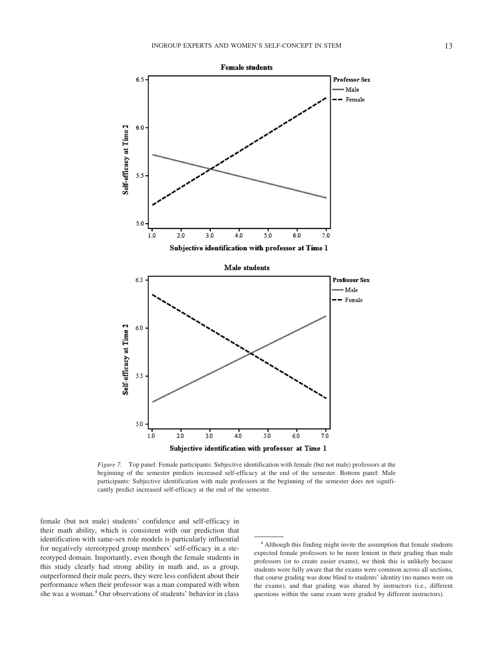

*Figure 7.* Top panel: Female participants: Subjective identification with female (but not male) professors at the beginning of the semester predicts increased self-efficacy at the end of the semester. Bottom panel: Male participants: Subjective identification with male professors at the beginning of the semester does not significantly predict increased self-efficacy at the end of the semester.

female (but not male) students' confidence and self-efficacy in their math ability, which is consistent with our prediction that identification with same-sex role models is particularly influential for negatively stereotyped group members' self-efficacy in a stereotyped domain. Importantly, even though the female students in this study clearly had strong ability in math and, as a group, outperformed their male peers, they were less confident about their performance when their professor was a man compared with when she was a woman.<sup>4</sup> Our observations of students' behavior in class

<sup>4</sup> Although this finding might invite the assumption that female students expected female professors to be more lenient in their grading than male professors (or to create easier exams), we think this is unlikely because students were fully aware that the exams were common across all sections, that course grading was done blind to students' identity (no names were on the exams), and that grading was shared by instructors (i.e., different questions within the same exam were graded by different instructors).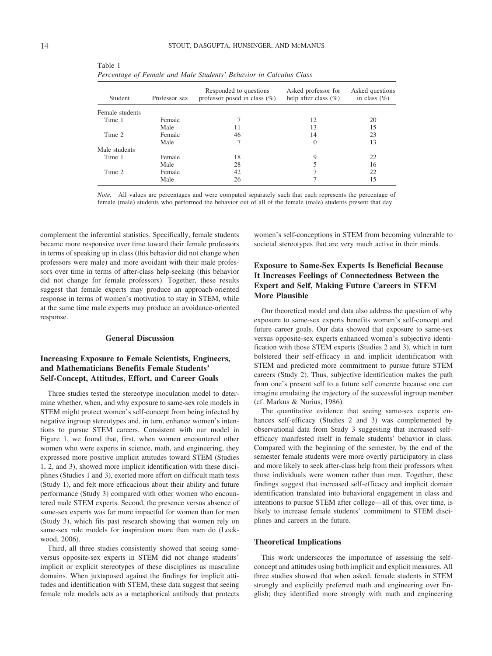| Student         | Professor sex | Responded to questions<br>professor posed in class $(\%)$ | Asked professor for<br>help after class $(\% )$ | Asked questions<br>in class $(\% )$ |
|-----------------|---------------|-----------------------------------------------------------|-------------------------------------------------|-------------------------------------|
| Female students |               |                                                           |                                                 |                                     |
| Time 1          | Female        |                                                           | 12                                              | 20                                  |
|                 | Male          | 11                                                        | 13                                              | 15                                  |
| Time 2          | Female        | 46                                                        | 14                                              | 23                                  |
|                 | Male          |                                                           | $\Omega$                                        | 13                                  |
| Male students   |               |                                                           |                                                 |                                     |
| Time 1          | Female        | 18                                                        | 9                                               | 22                                  |
|                 | Male          | 28                                                        |                                                 | 16                                  |
| Time 2          | Female        | 42                                                        |                                                 | 22                                  |
|                 | Male          | 26                                                        |                                                 | 15                                  |

Table 1 *Percentage of Female and Male Students' Behavior in Calculus Class*

*Note.* All values are percentages and were computed separately such that each represents the percentage of female (male) students who performed the behavior out of all of the female (male) students present that day.

complement the inferential statistics. Specifically, female students became more responsive over time toward their female professors in terms of speaking up in class (this behavior did not change when professors were male) and more avoidant with their male professors over time in terms of after-class help-seeking (this behavior did not change for female professors). Together, these results suggest that female experts may produce an approach-oriented response in terms of women's motivation to stay in STEM, while at the same time male experts may produce an avoidance-oriented response.

## **General Discussion**

# **Increasing Exposure to Female Scientists, Engineers, and Mathematicians Benefits Female Students' Self-Concept, Attitudes, Effort, and Career Goals**

Three studies tested the stereotype inoculation model to determine whether, when, and why exposure to same-sex role models in STEM might protect women's self-concept from being infected by negative ingroup stereotypes and, in turn, enhance women's intentions to pursue STEM careers. Consistent with our model in Figure 1, we found that, first, when women encountered other women who were experts in science, math, and engineering, they expressed more positive implicit attitudes toward STEM (Studies 1, 2, and 3), showed more implicit identification with these disciplines (Studies 1 and 3), exerted more effort on difficult math tests (Study 1), and felt more efficacious about their ability and future performance (Study 3) compared with other women who encountered male STEM experts. Second, the presence versus absence of same-sex experts was far more impactful for women than for men (Study 3), which fits past research showing that women rely on same-sex role models for inspiration more than men do (Lockwood, 2006).

Third, all three studies consistently showed that seeing sameversus opposite-sex experts in STEM did not change students' implicit or explicit stereotypes of these disciplines as masculine domains. When juxtaposed against the findings for implicit attitudes and identification with STEM, these data suggest that seeing female role models acts as a metaphorical antibody that protects women's self-conceptions in STEM from becoming vulnerable to societal stereotypes that are very much active in their minds.

# **Exposure to Same-Sex Experts Is Beneficial Because It Increases Feelings of Connectedness Between the Expert and Self, Making Future Careers in STEM More Plausible**

Our theoretical model and data also address the question of why exposure to same-sex experts benefits women's self-concept and future career goals. Our data showed that exposure to same-sex versus opposite-sex experts enhanced women's subjective identification with those STEM experts (Studies 2 and 3), which in turn bolstered their self-efficacy in and implicit identification with STEM and predicted more commitment to pursue future STEM careers (Study 2). Thus, subjective identification makes the path from one's present self to a future self concrete because one can imagine emulating the trajectory of the successful ingroup member (cf. Markus & Nurius, 1986).

The quantitative evidence that seeing same-sex experts enhances self-efficacy (Studies 2 and 3) was complemented by observational data from Study 3 suggesting that increased selfefficacy manifested itself in female students' behavior in class. Compared with the beginning of the semester, by the end of the semester female students were more overtly participatory in class and more likely to seek after-class help from their professors when those individuals were women rather than men. Together, these findings suggest that increased self-efficacy and implicit domain identification translated into behavioral engagement in class and intentions to pursue STEM after college—all of this, over time, is likely to increase female students' commitment to STEM disciplines and careers in the future.

#### **Theoretical Implications**

This work underscores the importance of assessing the selfconcept and attitudes using both implicit and explicit measures. All three studies showed that when asked, female students in STEM strongly and explicitly preferred math and engineering over English; they identified more strongly with math and engineering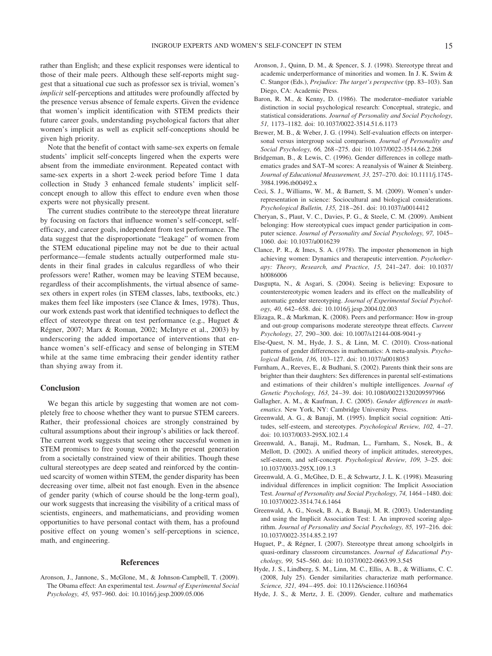rather than English; and these explicit responses were identical to those of their male peers. Although these self-reports might suggest that a situational cue such as professor sex is trivial, women's *implicit* self-perceptions and attitudes were profoundly affected by the presence versus absence of female experts. Given the evidence that women's implicit identification with STEM predicts their future career goals, understanding psychological factors that alter women's implicit as well as explicit self-conceptions should be given high priority.

Note that the benefit of contact with same-sex experts on female students' implicit self-concepts lingered when the experts were absent from the immediate environment. Repeated contact with same-sex experts in a short 2-week period before Time 1 data collection in Study 3 enhanced female students' implicit selfconcept enough to allow this effect to endure even when those experts were not physically present.

The current studies contribute to the stereotype threat literature by focusing on factors that influence women's self-concept, selfefficacy, and career goals, independent from test performance. The data suggest that the disproportionate "leakage" of women from the STEM educational pipeline may not be due to their actual performance—female students actually outperformed male students in their final grades in calculus regardless of who their professors were! Rather, women may be leaving STEM because, regardless of their accomplishments, the virtual absence of samesex others in expert roles (in STEM classes, labs, textbooks, etc.) makes them feel like imposters (see Clance & Imes, 1978). Thus, our work extends past work that identified techniques to deflect the effect of stereotype threat on test performance (e.g., Huguet & Régner, 2007; Marx & Roman, 2002; McIntyre et al., 2003) by underscoring the added importance of interventions that enhance women's self-efficacy and sense of belonging in STEM while at the same time embracing their gender identity rather than shying away from it.

#### **Conclusion**

We began this article by suggesting that women are not completely free to choose whether they want to pursue STEM careers. Rather, their professional choices are strongly constrained by cultural assumptions about their ingroup's abilities or lack thereof. The current work suggests that seeing other successful women in STEM promises to free young women in the present generation from a societally constrained view of their abilities. Though these cultural stereotypes are deep seated and reinforced by the continued scarcity of women within STEM, the gender disparity has been decreasing over time, albeit not fast enough. Even in the absence of gender parity (which of course should be the long-term goal), our work suggests that increasing the visibility of a critical mass of scientists, engineers, and mathematicians, and providing women opportunities to have personal contact with them, has a profound positive effect on young women's self-perceptions in science, math, and engineering.

#### **References**

Aronson, J., Jannone, S., McGlone, M., & Johnson-Campbell, T. (2009). The Obama effect: An experimental test. *Journal of Experimental Social Psychology, 45,* 957–960. doi: 10.1016/j.jesp.2009.05.006

- Aronson, J., Quinn, D. M., & Spencer, S. J. (1998). Stereotype threat and academic underperformance of minorities and women. In J. K. Swim & C. Stangor (Eds.), *Prejudice: The target's perspective* (pp. 83–103). San Diego, CA: Academic Press.
- Baron, R. M., & Kenny, D. (1986). The moderator–mediator variable distinction in social psychological research: Conceptual, strategic, and statistical considerations. *Journal of Personality and Social Psychology, 51,* 1173–1182. doi: 10.1037/0022-3514.51.6.1173
- Brewer, M. B., & Weber, J. G. (1994). Self-evaluation effects on interpersonal versus intergroup social comparison. *Journal of Personality and Social Psychology, 66,* 268 –275. doi: 10.1037/0022-3514.66.2.268
- Bridgeman, B., & Lewis, C. (1996). Gender differences in college mathematics grades and SAT–M scores: A reanalysis of Wainer & Steinberg. *Journal of Educational Measurement, 33,* 257–270. doi: 10.1111/j.1745- 3984.1996.tb00492.x
- Ceci, S. J., Williams, W. M., & Barnett, S. M. (2009). Women's underrepresentation in science: Sociocultural and biological considerations. *Psychological Bulletin, 135,* 218 –261. doi: 10.1037/a0014412
- Cheryan, S., Plaut, V. C., Davies, P. G., & Steele, C. M. (2009). Ambient belonging: How stereotypical cues impact gender participation in computer science. *Journal of Personality and Social Psychology, 97,* 1045– 1060. doi: 10.1037/a0016239
- Clance, P. R., & Imes, S. A. (1978). The imposter phenomenon in high achieving women: Dynamics and therapeutic intervention. *Psychotherapy: Theory, Research, and Practice, 15,* 241–247. doi: 10.1037/ h0086006
- Dasgupta, N., & Asgari, S. (2004). Seeing is believing: Exposure to counterstereotypic women leaders and its effect on the malleability of automatic gender stereotyping. *Journal of Experimental Social Psychology, 40,* 642– 658. doi: 10.1016/j.jesp.2004.02.003
- Elizaga, R., & Markman, K. (2008). Peers and performance: How in-group and out-group comparisons moderate stereotype threat effects. *Current Psychology, 27,* 290 –300. doi: 10.1007/s12144-008-9041-y
- Else-Quest, N. M., Hyde, J. S., & Linn, M. C. (2010). Cross-national patterns of gender differences in mathematics: A meta-analysis. *Psychological Bulletin, 136,* 103–127. doi: 10.1037/a0018053
- Furnham, A., Reeves, E., & Budhani, S. (2002). Parents think their sons are brighter than their daughters: Sex differences in parental self-estimations and estimations of their children's multiple intelligences. *Journal of Genetic Psychology, 163,* 24 –39. doi: 10.1080/00221320209597966
- Gallagher, A. M., & Kaufman, J. C. (2005). *Gender differences in mathematics.* New York, NY: Cambridge University Press.
- Greenwald, A. G., & Banaji, M. (1995). Implicit social cognition: Attitudes, self-esteem, and stereotypes. *Psychological Review, 102,* 4 –27. doi: 10.1037/0033-295X.102.1.4
- Greenwald, A., Banaji, M., Rudman, L., Farnham, S., Nosek, B., & Mellott, D. (2002). A unified theory of implicit attitudes, stereotypes, self-esteem, and self-concept. *Psychological Review, 109,* 3–25. doi: 10.1037/0033-295X.109.1.3
- Greenwald, A. G., McGhee, D. E., & Schwartz, J. L. K. (1998). Measuring individual differences in implicit cognition: The Implicit Association Test. *Journal of Personality and Social Psychology, 74,* 1464 –1480. doi: 10.1037/0022-3514.74.6.1464
- Greenwald, A. G., Nosek, B. A., & Banaji, M. R. (2003). Understanding and using the Implicit Association Test: I. An improved scoring algorithm. *Journal of Personality and Social Psychology, 85,* 197–216. doi: 10.1037/0022-3514.85.2.197
- Huguet, P., & Régner, I. (2007). Stereotype threat among schoolgirls in quasi-ordinary classroom circumstances. *Journal of Educational Psychology, 99,* 545–560. doi: 10.1037/0022-0663.99.3.545
- Hyde, J. S., Lindberg, S. M., Linn, M. C., Ellis, A. B., & Williams, C. C. (2008, July 25). Gender similarities characterize math performance. *Science, 321,* 494 – 495. doi: 10.1126/science.1160364
- Hyde, J. S., & Mertz, J. E. (2009). Gender, culture and mathematics